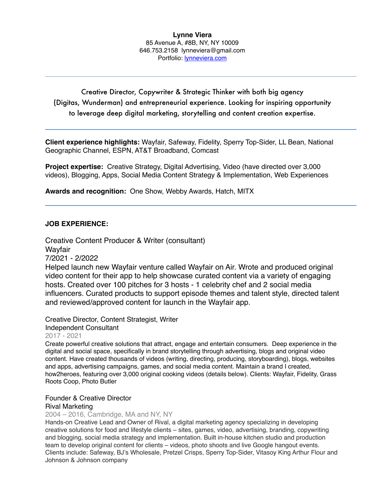### **Lynne Viera** 85 Avenue A, #8B, NY, NY 10009 646.753.2158 lynneviera@gmail.com Portfolio: [lynneviera.com](http://www.lynneviera.com)

Creative Director, Copywriter & Strategic Thinker with both big agency (Digitas, Wunderman) and entrepreneurial experience. Looking for inspiring opportunity to leverage deep digital marketing, storytelling and content creation expertise.

**Client experience highlights:** Wayfair, Safeway, Fidelity, Sperry Top-Sider, LL Bean, National Geographic Channel, ESPN, AT&T Broadband, Comcast

**Project expertise:** Creative Strategy, Digital Advertising, Video (have directed over 3,000 videos), Blogging, Apps, Social Media Content Strategy & Implementation, Web Experiences

**Awards and recognition:** One Show, Webby Awards, Hatch, MITX

### **JOB EXPERIENCE:**

Creative Content Producer & Writer (consultant) **Wavfair** 7/2021 - 2/2022 Helped launch new Wayfair venture called Wayfair on Air. Wrote and produced original

video content for their app to help showcase curated content via a variety of engaging hosts. Created over 100 pitches for 3 hosts - 1 celebrity chef and 2 social media influencers. Curated products to support episode themes and talent style, directed talent and reviewed/approved content for launch in the Wayfair app.

Creative Director, Content Strategist, Writer [Independent Consultant](https://www.linkedin.com/company/728352?trk=prof-exp-company-name) 2017 - 2021

Create powerful creative solutions that attract, engage and entertain consumers. Deep experience in the digital and social space, specifically in brand storytelling through advertising, blogs and original video content. Have created thousands of videos (writing, directing, producing, storyboarding), blogs, websites and apps, advertising campaigns, games, and social media content. Maintain a brand I created, how2heroes, featuring over 3,000 original cooking videos (details below). Clients: Wayfair, Fidelity, Grass Roots Coop, Photo Butler

### Founder & Creative Director

### [Rival Marketing](https://www.linkedin.com/company/728352?trk=prof-exp-company-name)

2004 – 2016, Cambridge, MA and NY, NY

Hands-on Creative Lead and Owner of Rival, a digital marketing agency specializing in developing creative solutions for food and lifestyle clients – sites, games, video, advertising, branding, copywriting and blogging, social media strategy and implementation. Built in-house kitchen studio and production team to develop original content for clients – videos, photo shoots and live Google hangout events. Clients include: Safeway, BJ's Wholesale, Pretzel Crisps, Sperry Top-Sider, Vitasoy King Arthur Flour and Johnson & Johnson company